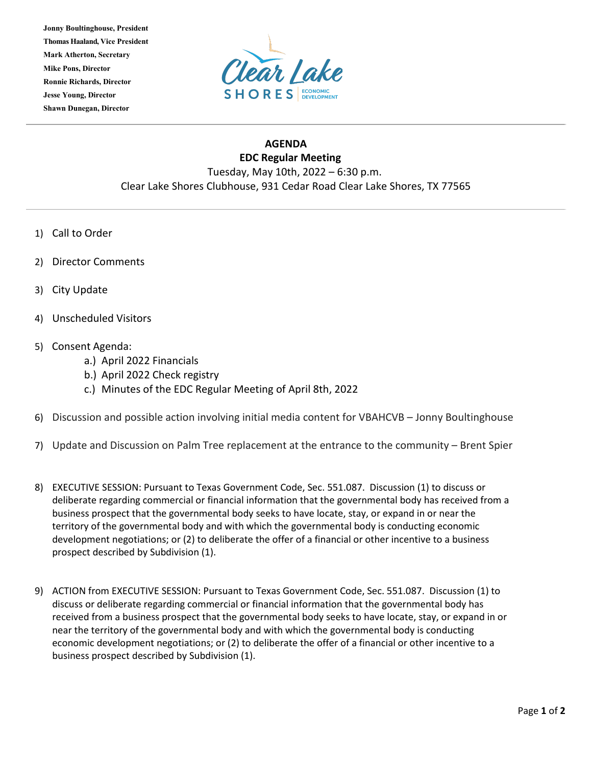**Jonny Boultinghouse, President Thomas Haaland, Vice President Mark Atherton, Secretary Mike Pons, Director Ronnie Richards, Director Jesse Young, Director Shawn Dunegan, Director**



## **AGENDA EDC Regular Meeting** Tuesday, May 10th, 2022 – 6:30 p.m. Clear Lake Shores Clubhouse, 931 Cedar Road Clear Lake Shores, TX 77565

- 1) Call to Order
- 2) Director Comments
- 3) City Update
- 4) Unscheduled Visitors
- 5) Consent Agenda:
	- a.) April 2022 Financials
	- b.) April 2022 Check registry
	- c.) Minutes of the EDC Regular Meeting of April 8th, 2022
- 6) Discussion and possible action involving initial media content for VBAHCVB Jonny Boultinghouse
- 7) Update and Discussion on Palm Tree replacement at the entrance to the community Brent Spier
- 8) EXECUTIVE SESSION: Pursuant to Texas Government Code, Sec. 551.087. Discussion (1) to discuss or deliberate regarding commercial or financial information that the governmental body has received from a business prospect that the governmental body seeks to have locate, stay, or expand in or near the territory of the governmental body and with which the governmental body is conducting economic development negotiations; or (2) to deliberate the offer of a financial or other incentive to a business prospect described by Subdivision (1).
- 9) ACTION from EXECUTIVE SESSION: Pursuant to Texas Government Code, Sec. 551.087. Discussion (1) to discuss or deliberate regarding commercial or financial information that the governmental body has received from a business prospect that the governmental body seeks to have locate, stay, or expand in or near the territory of the governmental body and with which the governmental body is conducting economic development negotiations; or (2) to deliberate the offer of a financial or other incentive to a business prospect described by Subdivision (1).